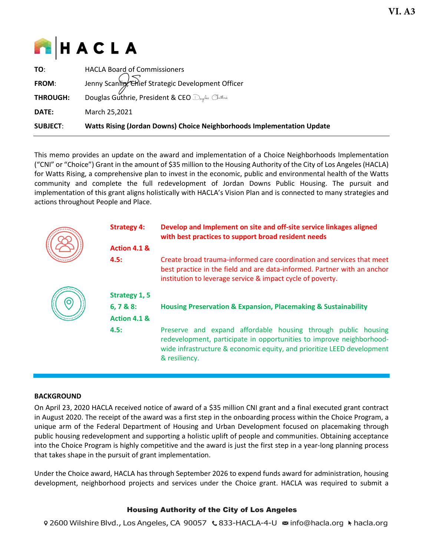

| <b>SUBJECT:</b> | <b>Watts Rising (Jordan Downs) Choice Neighborhoods Implementation Update</b>                          |
|-----------------|--------------------------------------------------------------------------------------------------------|
| DATE:           | March 25,2021                                                                                          |
| <b>THROUGH:</b> |                                                                                                        |
| FROM:           | Jenny Scanlin, Chief Strategic Development Officer<br>Douglas Guthrie, President & CEO Dregles Outline |
| TO:             | <b>HACLA Board of Commissioners</b>                                                                    |

This memo provides an update on the award and implementation of a Choice Neighborhoods Implementation ("CNI" or "Choice") Grant in the amount of \$35 million to the Housing Authority of the City of Los Angeles (HACLA) for Watts Rising, a comprehensive plan to invest in the economic, public and environmental health of the Watts community and complete the full redevelopment of Jordan Downs Public Housing. The pursuit and implementation of this grant aligns holistically with HACLA's Vision Plan and is connected to many strategies and actions throughout People and Place.

| <b>Strategy 4:</b>                                        | Develop and Implement on site and off-site service linkages aligned<br>with best practices to support broad resident needs                                                                                                       |  |  |
|-----------------------------------------------------------|----------------------------------------------------------------------------------------------------------------------------------------------------------------------------------------------------------------------------------|--|--|
| Action 4.1 &                                              |                                                                                                                                                                                                                                  |  |  |
| 4.5:                                                      | Create broad trauma-informed care coordination and services that meet<br>best practice in the field and are data-informed. Partner with an anchor<br>institution to leverage service & impact cycle of poverty.                  |  |  |
| Strategy 1, 5<br>$6, 7 & 88$ :<br><b>Action 4.1 &amp;</b> | <b>Housing Preservation &amp; Expansion, Placemaking &amp; Sustainability</b>                                                                                                                                                    |  |  |
| 4.5:                                                      | Preserve and expand affordable housing through public housing<br>redevelopment, participate in opportunities to improve neighborhood-<br>wide infrastructure & economic equity, and prioritize LEED development<br>& resiliency. |  |  |

# **BACKGROUND**

On April 23, 2020 HACLA received notice of award of a \$35 million CNI grant and a final executed grant contract in August 2020. The receipt of the award was a first step in the onboarding process within the Choice Program, a unique arm of the Federal Department of Housing and Urban Development focused on placemaking through public housing redevelopment and supporting a holistic uplift of people and communities. Obtaining acceptance into the Choice Program is highly competitive and the award is just the first step in a year-long planning process that takes shape in the pursuit of grant implementation.

Under the Choice award, HACLA has through September 2026 to expend funds award for administration, housing development, neighborhood projects and services under the Choice grant. HACLA was required to submit a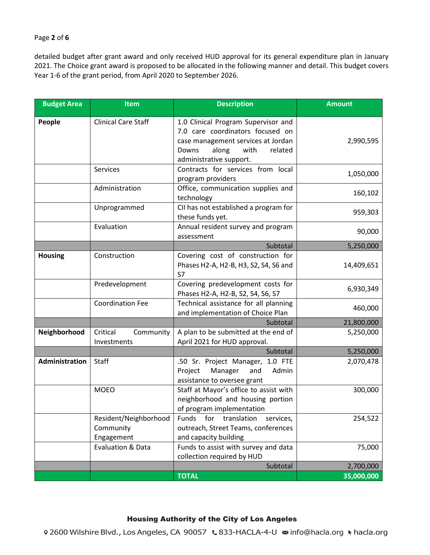### Page **2** of **6**

detailed budget after grant award and only received HUD approval for its general expenditure plan in January 2021. The Choice grant award is proposed to be allocated in the following manner and detail. This budget covers Year 1-6 of the grant period, from April 2020 to September 2026.

| <b>Budget Area</b> | Item                                             | <b>Description</b>                                                                                                                                                            | <b>Amount</b> |
|--------------------|--------------------------------------------------|-------------------------------------------------------------------------------------------------------------------------------------------------------------------------------|---------------|
| People             | <b>Clinical Care Staff</b>                       | 1.0 Clinical Program Supervisor and<br>7.0 care coordinators focused on<br>case management services at Jordan<br>along<br>Downs<br>with<br>related<br>administrative support. | 2,990,595     |
|                    | Services                                         | Contracts for services from local<br>program providers                                                                                                                        | 1,050,000     |
|                    | Administration                                   | Office, communication supplies and<br>technology                                                                                                                              | 160,102       |
|                    | Unprogrammed                                     | CII has not established a program for<br>these funds yet.                                                                                                                     | 959,303       |
|                    | Evaluation                                       | Annual resident survey and program<br>assessment                                                                                                                              | 90,000        |
|                    |                                                  | Subtotal                                                                                                                                                                      | 5,250,000     |
| <b>Housing</b>     | Construction                                     | Covering cost of construction for<br>Phases H2-A, H2-B, H3, S2, S4, S6 and<br>S7                                                                                              | 14,409,651    |
|                    | Predevelopment                                   | Covering predevelopment costs for<br>Phases H2-A, H2-B, S2, S4, S6, S7                                                                                                        | 6,930,349     |
|                    | <b>Coordination Fee</b>                          | Technical assistance for all planning<br>and implementation of Choice Plan                                                                                                    | 460,000       |
|                    |                                                  | Subtotal                                                                                                                                                                      | 21,800,000    |
| Neighborhood       | Critical<br>Community<br>Investments             | A plan to be submitted at the end of<br>April 2021 for HUD approval.                                                                                                          | 5,250,000     |
|                    |                                                  | Subtotal                                                                                                                                                                      | 5,250,000     |
| Administration     | Staff                                            | .50 Sr. Project Manager, 1.0 FTE<br>Admin<br>Project<br>Manager<br>and<br>assistance to oversee grant                                                                         | 2,070,478     |
|                    | <b>MOEO</b>                                      | Staff at Mayor's office to assist with<br>neighborhood and housing portion<br>of program implementation                                                                       | 300,000       |
|                    | Resident/Neighborhood<br>Community<br>Engagement | for<br>translation<br>Funds<br>services,<br>outreach, Street Teams, conferences<br>and capacity building                                                                      | 254,522       |
|                    | Evaluation & Data                                | Funds to assist with survey and data<br>collection required by HUD                                                                                                            | 75,000        |
|                    |                                                  | Subtotal                                                                                                                                                                      | 2,700,000     |
|                    |                                                  | <b>TOTAL</b>                                                                                                                                                                  | 35,000,000    |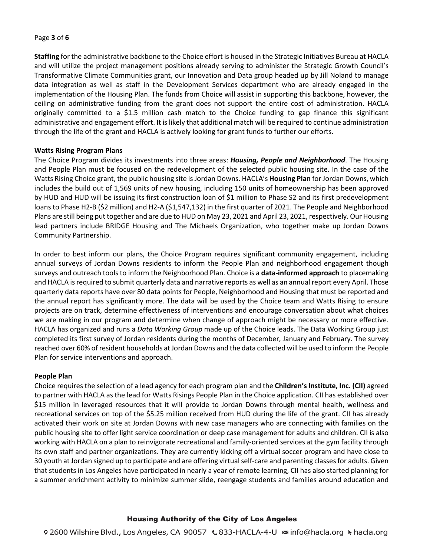### Page **3** of **6**

**Staffing** for the administrative backbone to the Choice effort is housed in the Strategic Initiatives Bureau at HACLA and will utilize the project management positions already serving to administer the Strategic Growth Council's Transformative Climate Communities grant, our Innovation and Data group headed up by Jill Noland to manage data integration as well as staff in the Development Services department who are already engaged in the implementation of the Housing Plan. The funds from Choice will assist in supporting this backbone, however, the ceiling on administrative funding from the grant does not support the entire cost of administration. HACLA originally committed to a \$1.5 million cash match to the Choice funding to gap finance this significant administrative and engagement effort. It is likely that additional match will be required to continue administration through the life of the grant and HACLA is actively looking for grant funds to further our efforts.

# **Watts Rising Program Plans**

The Choice Program divides its investments into three areas: *Housing, People and Neighborhood*. The Housing and People Plan must be focused on the redevelopment of the selected public housing site. In the case of the Watts Rising Choice grant, the public housing site is Jordan Downs. HACLA's **Housing Plan** for Jordan Downs, which includes the build out of 1,569 units of new housing, including 150 units of homeownership has been approved by HUD and HUD will be issuing its first construction loan of \$1 million to Phase S2 and its first predevelopment loans to Phase H2-B (\$2 million) and H2-A (\$1,547,132) in the first quarter of 2021. The People and Neighborhood Plans are still being put together and are due to HUD on May 23, 2021 and April 23, 2021, respectively. Our Housing lead partners include BRIDGE Housing and The Michaels Organization, who together make up Jordan Downs Community Partnership.

In order to best inform our plans, the Choice Program requires significant community engagement, including annual surveys of Jordan Downs residents to inform the People Plan and neighborhood engagement though surveys and outreach tools to inform the Neighborhood Plan. Choice is a **data-informed approach** to placemaking and HACLA is required to submit quarterly data and narrative reports as well as an annual report every April. Those quarterly data reports have over 80 data points for People, Neighborhood and Housing that must be reported and the annual report has significantly more. The data will be used by the Choice team and Watts Rising to ensure projects are on track, determine effectiveness of interventions and encourage conversation about what choices we are making in our program and determine when change of approach might be necessary or more effective. HACLA has organized and runs a *Data Working Group* made up of the Choice leads. The Data Working Group just completed its first survey of Jordan residents during the months of December, January and February. The survey reached over 60% of resident households at Jordan Downs and the data collected will be used to inform the People Plan for service interventions and approach.

#### **People Plan**

Choice requires the selection of a lead agency for each program plan and the **Children's Institute, Inc. (CII)** agreed to partner with HACLA as the lead for Watts Risings People Plan in the Choice application. CII has established over \$15 million in leveraged resources that it will provide to Jordan Downs through mental health, wellness and recreational services on top of the \$5.25 million received from HUD during the life of the grant. CII has already activated their work on site at Jordan Downs with new case managers who are connecting with families on the public housing site to offer light service coordination or deep case management for adults and children. CII is also working with HACLA on a plan to reinvigorate recreational and family-oriented services at the gym facility through its own staff and partner organizations. They are currently kicking off a virtual soccer program and have close to 30 youth at Jordan signed up to participate and are offering virtual self-care and parenting classes for adults. Given that students in Los Angeles have participated in nearly a year of remote learning, CII has also started planning for a summer enrichment activity to minimize summer slide, reengage students and families around education and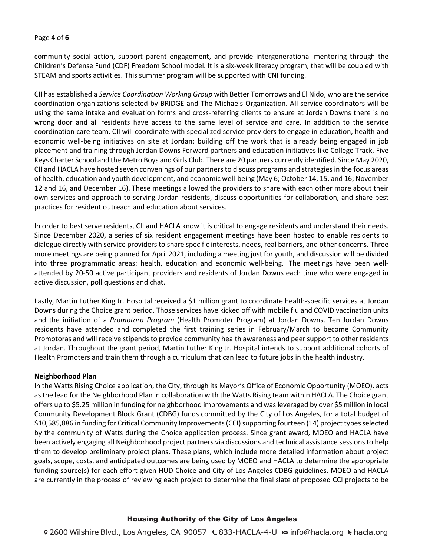### Page **4** of **6**

community social action, support parent engagement, and provide intergenerational mentoring through the Children's Defense Fund (CDF) Freedom School model. It is a six-week literacy program, that will be coupled with STEAM and sports activities. This summer program will be supported with CNI funding.

CII has established a *Service Coordination Working Group* with Better Tomorrows and El Nido, who are the service coordination organizations selected by BRIDGE and The Michaels Organization. All service coordinators will be using the same intake and evaluation forms and cross-referring clients to ensure at Jordan Downs there is no wrong door and all residents have access to the same level of service and care. In addition to the service coordination care team, CII will coordinate with specialized service providers to engage in education, health and economic well-being initiatives on site at Jordan; building off the work that is already being engaged in job placement and training through Jordan Downs Forward partners and education initiatives like College Track, Five Keys Charter School and the Metro Boys and Girls Club. There are 20 partners currently identified. Since May 2020, CII and HACLA have hosted seven convenings of our partners to discuss programs and strategies in the focus areas of health, education and youth development, and economic well-being (May 6; October 14, 15, and 16; November 12 and 16, and December 16). These meetings allowed the providers to share with each other more about their own services and approach to serving Jordan residents, discuss opportunities for collaboration, and share best practices for resident outreach and education about services.

In order to best serve residents, CII and HACLA know it is critical to engage residents and understand their needs. Since December 2020, a series of six resident engagement meetings have been hosted to enable residents to dialogue directly with service providers to share specific interests, needs, real barriers, and other concerns. Three more meetings are being planned for April 2021, including a meeting just for youth, and discussion will be divided into three programmatic areas: health, education and economic well-being. The meetings have been wellattended by 20-50 active participant providers and residents of Jordan Downs each time who were engaged in active discussion, poll questions and chat.

Lastly, Martin Luther King Jr. Hospital received a \$1 million grant to coordinate health-specific services at Jordan Downs during the Choice grant period. Those services have kicked off with mobile flu and COVID vaccination units and the initiation of a *Promotora Program* (Health Promoter Program) at Jordan Downs. Ten Jordan Downs residents have attended and completed the first training series in February/March to become Community Promotoras and will receive stipends to provide community health awareness and peer support to other residents at Jordan. Throughout the grant period, Martin Luther King Jr. Hospital intends to support additional cohorts of Health Promoters and train them through a curriculum that can lead to future jobs in the health industry.

#### **Neighborhood Plan**

In the Watts Rising Choice application, the City, through its Mayor's Office of Economic Opportunity (MOEO), acts as the lead for the Neighborhood Plan in collaboration with the Watts Rising team within HACLA. The Choice grant offers up to \$5.25 million in funding for neighborhood improvements and was leveraged by over \$5 million in local Community Development Block Grant (CDBG) funds committed by the City of Los Angeles, for a total budget of \$10,585,886 in funding for Critical Community Improvements (CCI) supporting fourteen (14) project types selected by the community of Watts during the Choice application process. Since grant award, MOEO and HACLA have been actively engaging all Neighborhood project partners via discussions and technical assistance sessions to help them to develop preliminary project plans. These plans, which include more detailed information about project goals, scope, costs, and anticipated outcomes are being used by MOEO and HACLA to determine the appropriate funding source(s) for each effort given HUD Choice and City of Los Angeles CDBG guidelines. MOEO and HACLA are currently in the process of reviewing each project to determine the final slate of proposed CCI projects to be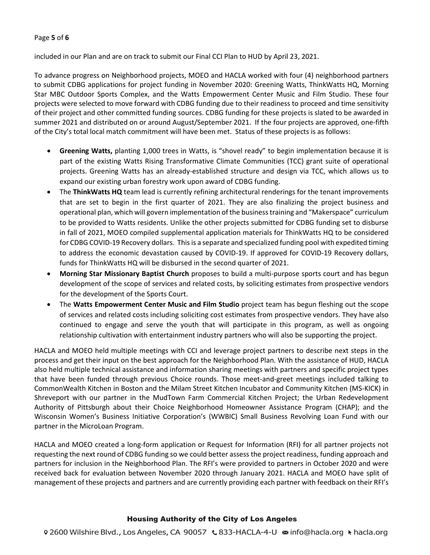### Page **5** of **6**

included in our Plan and are on track to submit our Final CCI Plan to HUD by April 23, 2021.

To advance progress on Neighborhood projects, MOEO and HACLA worked with four (4) neighborhood partners to submit CDBG applications for project funding in November 2020: Greening Watts, ThinkWatts HQ, Morning Star MBC Outdoor Sports Complex, and the Watts Empowerment Center Music and Film Studio. These four projects were selected to move forward with CDBG funding due to their readiness to proceed and time sensitivity of their project and other committed funding sources. CDBG funding for these projects is slated to be awarded in summer 2021 and distributed on or around August/September 2021. If the four projects are approved, one-fifth of the City's total local match commitment will have been met. Status of these projects is as follows:

- **Greening Watts,** planting 1,000 trees in Watts, is "shovel ready" to begin implementation because it is part of the existing Watts Rising Transformative Climate Communities (TCC) grant suite of operational projects. Greening Watts has an already-established structure and design via TCC, which allows us to expand our existing urban forestry work upon award of CDBG funding.
- The **ThinkWatts HQ** team lead is currently refining architectural renderings for the tenant improvements that are set to begin in the first quarter of 2021. They are also finalizing the project business and operational plan, which will govern implementation of the business training and "Makerspace" curriculum to be provided to Watts residents. Unlike the other projects submitted for CDBG funding set to disburse in fall of 2021, MOEO compiled supplemental application materials for ThinkWatts HQ to be considered for CDBG COVID-19 Recovery dollars. This is a separate and specialized funding pool with expedited timing to address the economic devastation caused by COVID-19. If approved for COVID-19 Recovery dollars, funds for ThinkWatts HQ will be disbursed in the second quarter of 2021.
- **Morning Star Missionary Baptist Church** proposes to build a multi-purpose sports court and has begun development of the scope of services and related costs, by soliciting estimates from prospective vendors for the development of the Sports Court.
- The **Watts Empowerment Center Music and Film Studio** project team has begun fleshing out the scope of services and related costs including soliciting cost estimates from prospective vendors. They have also continued to engage and serve the youth that will participate in this program, as well as ongoing relationship cultivation with entertainment industry partners who will also be supporting the project.

HACLA and MOEO held multiple meetings with CCI and leverage project partners to describe next steps in the process and get their input on the best approach for the Neighborhood Plan. With the assistance of HUD, HACLA also held multiple technical assistance and information sharing meetings with partners and specific project types that have been funded through previous Choice rounds. Those meet-and-greet meetings included talking to CommonWealth Kitchen in Boston and the Milam Street Kitchen Incubator and Community Kitchen (MS-KICK) in Shreveport with our partner in the MudTown Farm Commercial Kitchen Project; the Urban Redevelopment Authority of Pittsburgh about their Choice Neighborhood Homeowner Assistance Program (CHAP); and the Wisconsin Women's Business Initiative Corporation's (WWBIC) Small Business Revolving Loan Fund with our partner in the MicroLoan Program.

HACLA and MOEO created a long-form application or Request for Information (RFI) for all partner projects not requesting the next round of CDBG funding so we could better assess the project readiness, funding approach and partners for inclusion in the Neighborhood Plan. The RFI's were provided to partners in October 2020 and were received back for evaluation between November 2020 through January 2021. HACLA and MOEO have split of management of these projects and partners and are currently providing each partner with feedback on their RFI's